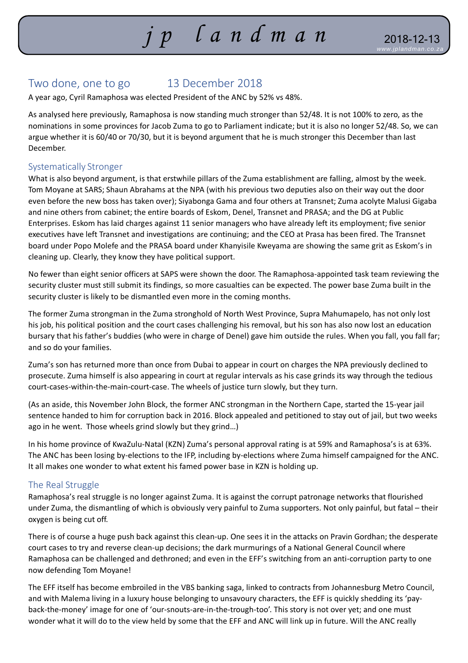# *j p lan d m a n www.jplandman.co. za*

# Two done, one to go 13 December 2018

A year ago, Cyril Ramaphosa was elected President of the ANC by 52% vs 48%.

As analysed here previously, Ramaphosa is now standing much stronger than 52/48. It is not 100% to zero, as the nominations in some provinces for Jacob Zuma to go to Parliament indicate; but it is also no longer 52/48. So, we can argue whether it is 60/40 or 70/30, but it is beyond argument that he is much stronger this December than last December.

#### Systematically Stronger

What is also beyond argument, is that erstwhile pillars of the Zuma establishment are falling, almost by the week. Tom Moyane at SARS; Shaun Abrahams at the NPA (with his previous two deputies also on their way out the door even before the new boss has taken over); Siyabonga Gama and four others at Transnet; Zuma acolyte Malusi Gigaba and nine others from cabinet; the entire boards of Eskom, Denel, Transnet and PRASA; and the DG at Public Enterprises. Eskom has laid charges against 11 senior managers who have already left its employment; five senior executives have left Transnet and investigations are continuing; and the CEO at Prasa has been fired. The Transnet board under Popo Molefe and the PRASA board under Khanyisile Kweyama are showing the same grit as Eskom's in cleaning up. Clearly, they know they have political support.

No fewer than eight senior officers at SAPS were shown the door. The Ramaphosa-appointed task team reviewing the security cluster must still submit its findings, so more casualties can be expected. The power base Zuma built in the security cluster is likely to be dismantled even more in the coming months.

The former Zuma strongman in the Zuma stronghold of North West Province, Supra Mahumapelo, has not only lost his job, his political position and the court cases challenging his removal, but his son has also now lost an education bursary that his father's buddies (who were in charge of Denel) gave him outside the rules. When you fall, you fall far; and so do your families.

Zuma's son has returned more than once from Dubai to appear in court on charges the NPA previously declined to prosecute. Zuma himself is also appearing in court at regular intervals as his case grinds its way through the tedious court-cases-within-the-main-court-case. The wheels of justice turn slowly, but they turn.

(As an aside, this November John Block, the former ANC strongman in the Northern Cape, started the 15-year jail sentence handed to him for corruption back in 2016. Block appealed and petitioned to stay out of jail, but two weeks ago in he went. Those wheels grind slowly but they grind…)

In his home province of KwaZulu-Natal (KZN) Zuma's personal approval rating is at 59% and Ramaphosa's is at 63%. The ANC has been losing by-elections to the IFP, including by-elections where Zuma himself campaigned for the ANC. It all makes one wonder to what extent his famed power base in KZN is holding up.

#### The Real Struggle

Ramaphosa's real struggle is no longer against Zuma. It is against the corrupt patronage networks that flourished under Zuma, the dismantling of which is obviously very painful to Zuma supporters. Not only painful, but fatal – their oxygen is being cut off.

There is of course a huge push back against this clean-up. One sees it in the attacks on Pravin Gordhan; the desperate court cases to try and reverse clean-up decisions; the dark murmurings of a National General Council where Ramaphosa can be challenged and dethroned; and even in the EFF's switching from an anti-corruption party to one now defending Tom Moyane!

The EFF itself has become embroiled in the VBS banking saga, linked to contracts from Johannesburg Metro Council, and with Malema living in a luxury house belonging to unsavoury characters, the EFF is quickly shedding its 'payback-the-money' image for one of 'our-snouts-are-in-the-trough-too'. This story is not over yet; and one must wonder what it will do to the view held by some that the EFF and ANC will link up in future. Will the ANC really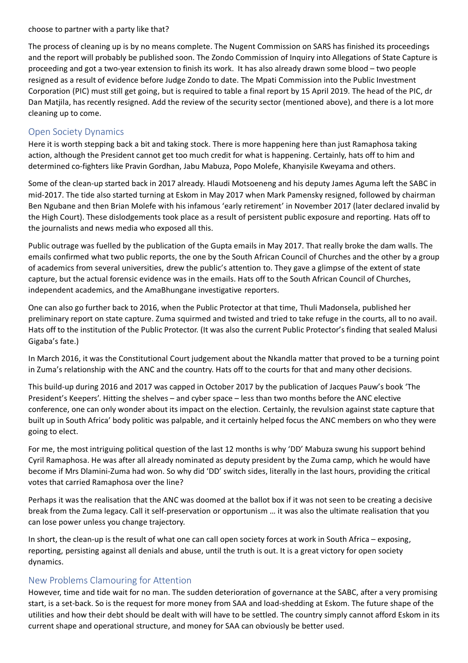choose to partner with a party like that?

The process of cleaning up is by no means complete. The Nugent Commission on SARS has finished its proceedings and the report will probably be published soon. The Zondo Commission of Inquiry into Allegations of State Capture is proceeding and got a two-year extension to finish its work. It has also already drawn some blood – two people resigned as a result of evidence before Judge Zondo to date. The Mpati Commission into the Public Investment Corporation (PIC) must still get going, but is required to table a final report by 15 April 2019. The head of the PIC, dr Dan Matjila, has recently resigned. Add the review of the security sector (mentioned above), and there is a lot more cleaning up to come.

## Open Society Dynamics

Here it is worth stepping back a bit and taking stock. There is more happening here than just Ramaphosa taking action, although the President cannot get too much credit for what is happening. Certainly, hats off to him and determined co-fighters like Pravin Gordhan, Jabu Mabuza, Popo Molefe, Khanyisile Kweyama and others.

Some of the clean-up started back in 2017 already. Hlaudi Motsoeneng and his deputy James Aguma left the SABC in mid-2017. The tide also started turning at Eskom in May 2017 when Mark Pamensky resigned, followed by chairman Ben Ngubane and then Brian Molefe with his infamous 'early retirement' in November 2017 (later declared invalid by the High Court). These dislodgements took place as a result of persistent public exposure and reporting. Hats off to the journalists and news media who exposed all this.

Public outrage was fuelled by the publication of the Gupta emails in May 2017. That really broke the dam walls. The emails confirmed what two public reports, the one by the South African Council of Churches and the other by a group of academics from several universities, drew the public's attention to. They gave a glimpse of the extent of state capture, but the actual forensic evidence was in the emails. Hats off to the South African Council of Churches, independent academics, and the AmaBhungane investigative reporters.

One can also go further back to 2016, when the Public Protector at that time, Thuli Madonsela, published her preliminary report on state capture. Zuma squirmed and twisted and tried to take refuge in the courts, all to no avail. Hats off to the institution of the Public Protector. (It was also the current Public Protector's finding that sealed Malusi Gigaba's fate.)

In March 2016, it was the Constitutional Court judgement about the Nkandla matter that proved to be a turning point in Zuma's relationship with the ANC and the country. Hats off to the courts for that and many other decisions.

This build-up during 2016 and 2017 was capped in October 2017 by the publication of Jacques Pauw's book 'The President's Keepers'. Hitting the shelves – and cyber space – less than two months before the ANC elective conference, one can only wonder about its impact on the election. Certainly, the revulsion against state capture that built up in South Africa' body politic was palpable, and it certainly helped focus the ANC members on who they were going to elect.

For me, the most intriguing political question of the last 12 months is why 'DD' Mabuza swung his support behind Cyril Ramaphosa. He was after all already nominated as deputy president by the Zuma camp, which he would have become if Mrs Dlamini-Zuma had won. So why did 'DD' switch sides, literally in the last hours, providing the critical votes that carried Ramaphosa over the line?

Perhaps it was the realisation that the ANC was doomed at the ballot box if it was not seen to be creating a decisive break from the Zuma legacy. Call it self-preservation or opportunism … it was also the ultimate realisation that you can lose power unless you change trajectory.

In short, the clean-up is the result of what one can call open society forces at work in South Africa – exposing, reporting, persisting against all denials and abuse, until the truth is out. It is a great victory for open society dynamics.

## New Problems Clamouring for Attention

However, time and tide wait for no man. The sudden deterioration of governance at the SABC, after a very promising start, is a set-back. So is the request for more money from SAA and load-shedding at Eskom. The future shape of the utilities and how their debt should be dealt with will have to be settled. The country simply cannot afford Eskom in its current shape and operational structure, and money for SAA can obviously be better used.